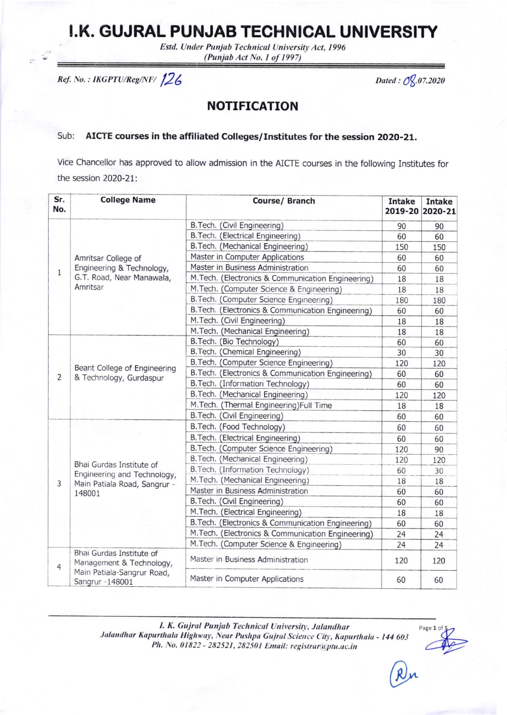## I.K. GUJRAL PUNJAB TECHNICAL UNIVERSITY

Estd. Under Punjab Technical University Act, 1996 (Punjab Act No. 1 of 1997)

Ref. No.: IKGPTU/Reg/NF/126

Dated: 08.07.2020

## **NOTIFICATION**

## AICTE courses in the affiliated Colleges/Institutes for the session 2020-21. Sub:

Vice Chancellor has approved to allow admission in the AICTE courses in the following Institutes for the session 2020-21:

| Sr.<br>No.     | <b>College Name</b>                                                                                   | Course/ Branch                                     | <b>Intake</b> | <b>Intake</b><br>2019-20 2020-21 |
|----------------|-------------------------------------------------------------------------------------------------------|----------------------------------------------------|---------------|----------------------------------|
| 1              | Amritsar College of<br>Engineering & Technology,<br>G.T. Road, Near Manawala,<br>Amritsar             | B. Tech. (Civil Engineering)                       | 90            | 90                               |
|                |                                                                                                       | B. Tech. (Electrical Engineering)                  | 60            | 60                               |
|                |                                                                                                       | B. Tech. (Mechanical Engineering)                  | 150           | 150                              |
|                |                                                                                                       | Master in Computer Applications                    | 60            | 60                               |
|                |                                                                                                       | Master in Business Administration                  | 60            | 60                               |
|                |                                                                                                       | M. Tech. (Electronics & Communication Engineering) | 18            | 18                               |
|                |                                                                                                       | M. Tech. (Computer Science & Engineering)          | 18            | 18                               |
|                |                                                                                                       | B. Tech. (Computer Science Engineering)            | 180           | 180                              |
|                |                                                                                                       | B. Tech. (Electronics & Communication Engineering) | 60            | 60                               |
|                |                                                                                                       | M.Tech. (Civil Engineering)                        | 18            | 18                               |
|                |                                                                                                       | M.Tech. (Mechanical Engineering)                   | 18            | 18                               |
|                | Beant College of Engineering<br>& Technology, Gurdaspur                                               | B. Tech. (Bio Technology)                          | 60            | 60                               |
|                |                                                                                                       | B. Tech. (Chemical Engineering)                    | 30            | 30                               |
|                |                                                                                                       | B. Tech. (Computer Science Engineering)            | 120           | 120                              |
| $\overline{2}$ |                                                                                                       | B. Tech. (Electronics & Communication Engineering) | 60            | 60                               |
|                |                                                                                                       | B. Tech. (Information Technology)                  | 60            | 60                               |
|                |                                                                                                       | B. Tech. (Mechanical Engineering)                  | 120           | 120                              |
|                |                                                                                                       | M. Tech. (Thermal Engineering) Full Time           | 18            | 18                               |
|                |                                                                                                       | B. Tech. (Civil Engineering)                       | 60            | 60                               |
|                | Bhai Gurdas Institute of<br>Engineering and Technology,<br>Main Patiala Road, Sangrur -<br>148001     | B. Tech. (Food Technology)                         | 60            | 60                               |
|                |                                                                                                       | B. Tech. (Electrical Engineering)                  | 60            | 60                               |
|                |                                                                                                       | B. Tech. (Computer Science Engineering)            | 120           | 90                               |
| 3              |                                                                                                       | B. Tech. (Mechanical Engineering)                  | 120           | 120                              |
|                |                                                                                                       | B. Tech. (Information Technology)                  | 60            | 30                               |
|                |                                                                                                       | M.Tech. (Mechanical Engineering)                   | 18            | 18                               |
|                |                                                                                                       | Master in Business Administration                  | 60            | 60                               |
|                |                                                                                                       | B. Tech. (Civil Engineering)                       | 60            | 60                               |
|                |                                                                                                       | M.Tech. (Electrical Engineering)                   | 18            | 18                               |
|                |                                                                                                       | B. Tech. (Electronics & Communication Engineering) | 60            | 60                               |
|                |                                                                                                       | M.Tech. (Electronics & Communication Engineering)  | 24            | 24                               |
|                |                                                                                                       | M.Tech. (Computer Science & Engineering)           | 24            | 24                               |
| 4              | Bhai Gurdas Institute of<br>Management & Technology,<br>Main Patiala-Sangrur Road,<br>Sangrur -148001 | Master in Business Administration                  | 120           | 120                              |
|                |                                                                                                       | Master in Computer Applications                    | 60            | 60                               |

I. K. Gujral Punjab Technical University, Jalandhar Jalandhar Kapurthala Highway, Near Pushpa Gujral Science City, Kapurthala - 144 603 Ph. No. 01822 - 282521, 282501 Email: registrar@ptu.ac.in